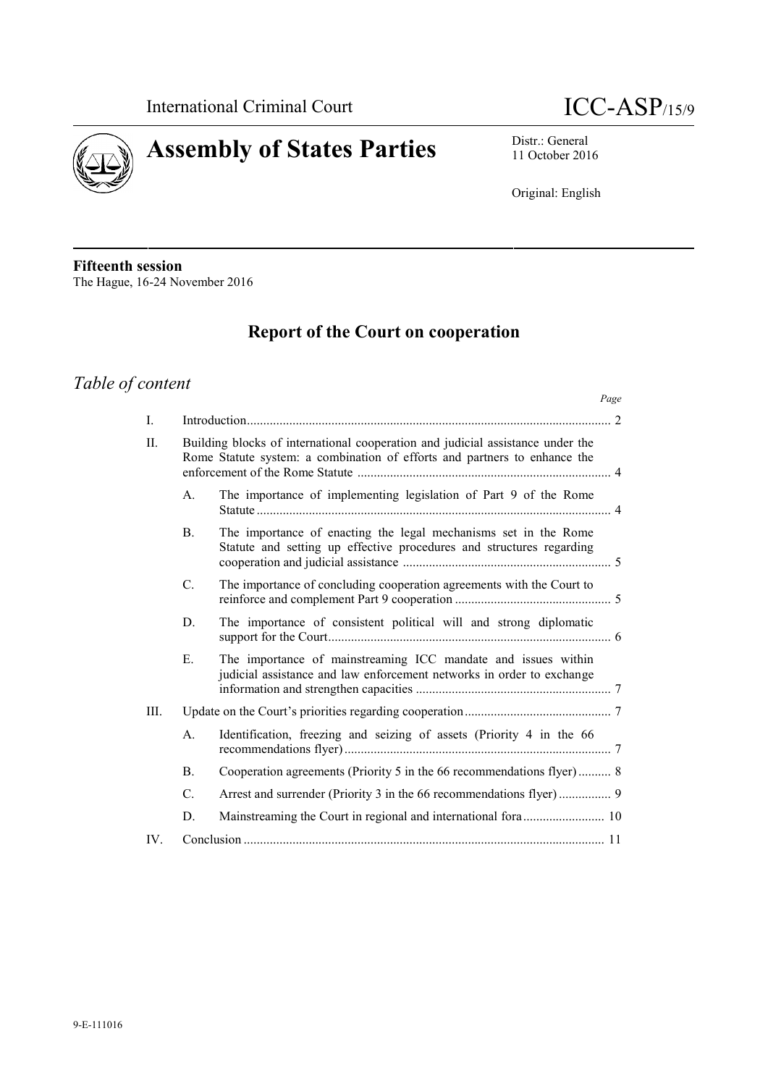



11 October 2016

Original: English

**Fifteenth session** The Hague, 16-24 November 2016

# **Report of the Court on cooperation**

# *Table of content*

|      |                                                                                                                                                             |                                                                                                                                         | Page |
|------|-------------------------------------------------------------------------------------------------------------------------------------------------------------|-----------------------------------------------------------------------------------------------------------------------------------------|------|
| I.   |                                                                                                                                                             |                                                                                                                                         |      |
| II.  | Building blocks of international cooperation and judicial assistance under the<br>Rome Statute system: a combination of efforts and partners to enhance the |                                                                                                                                         |      |
|      | $A_{\cdot}$                                                                                                                                                 | The importance of implementing legislation of Part 9 of the Rome                                                                        |      |
|      | B <sub>1</sub>                                                                                                                                              | The importance of enacting the legal mechanisms set in the Rome<br>Statute and setting up effective procedures and structures regarding |      |
|      | C.                                                                                                                                                          | The importance of concluding cooperation agreements with the Court to                                                                   |      |
|      | D.                                                                                                                                                          | The importance of consistent political will and strong diplomatic                                                                       |      |
|      | Ε.                                                                                                                                                          | The importance of mainstreaming ICC mandate and issues within<br>judicial assistance and law enforcement networks in order to exchange  |      |
| III. |                                                                                                                                                             |                                                                                                                                         |      |
|      | A.                                                                                                                                                          | Identification, freezing and seizing of assets (Priority 4 in the 66                                                                    |      |
|      | <b>B.</b>                                                                                                                                                   | Cooperation agreements (Priority 5 in the 66 recommendations flyer)  8                                                                  |      |
|      | C.                                                                                                                                                          |                                                                                                                                         |      |
|      | D.                                                                                                                                                          |                                                                                                                                         |      |
| IV.  |                                                                                                                                                             |                                                                                                                                         |      |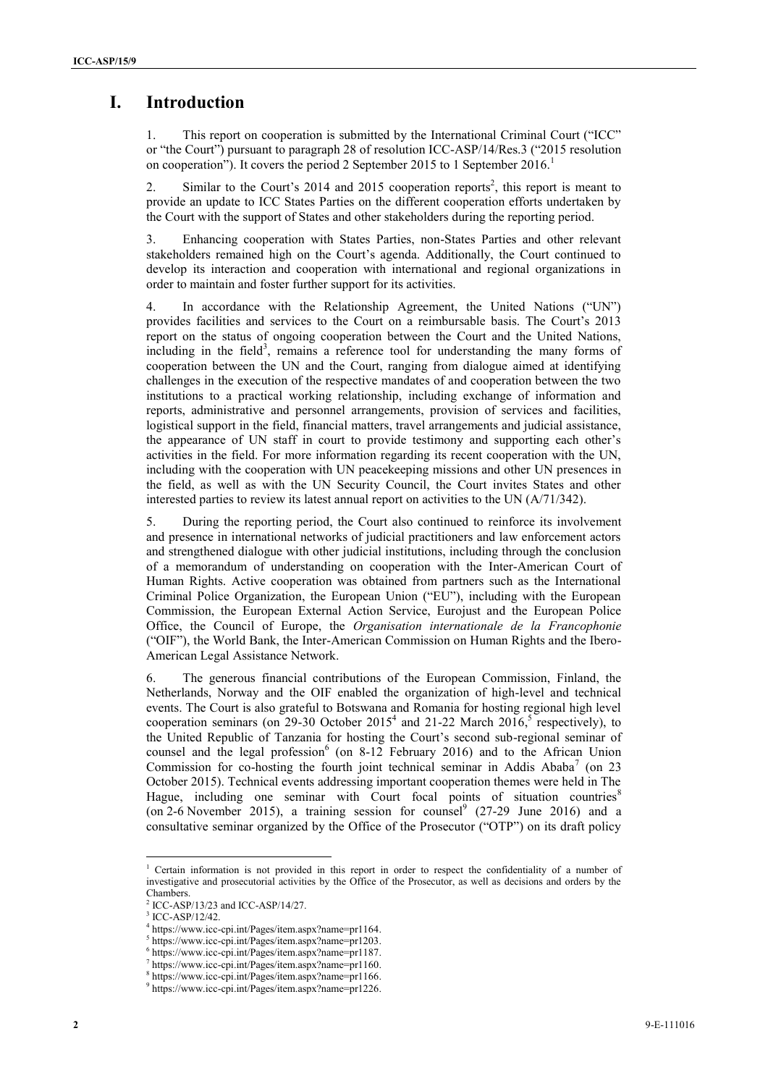## **I. Introduction**

1. This report on cooperation is submitted by the International Criminal Court ("ICC" or "the Court") pursuant to paragraph 28 of resolution ICC-ASP/14/Res.3 ("2015 resolution on cooperation"). It covers the period 2 September 2015 to 1 September 2016.<sup>1</sup>

2. Similar to the Court's  $2014$  and  $2015$  cooperation reports<sup>2</sup>, this report is meant to provide an update to ICC States Parties on the different cooperation efforts undertaken by the Court with the support of States and other stakeholders during the reporting period.

3. Enhancing cooperation with States Parties, non-States Parties and other relevant stakeholders remained high on the Court's agenda. Additionally, the Court continued to develop its interaction and cooperation with international and regional organizations in order to maintain and foster further support for its activities.

4. In accordance with the Relationship Agreement, the United Nations ("UN") provides facilities and services to the Court on a reimbursable basis. The Court's 2013 report on the status of ongoing cooperation between the Court and the United Nations, including in the field<sup>3</sup>, remains a reference tool for understanding the many forms of cooperation between the UN and the Court, ranging from dialogue aimed at identifying challenges in the execution of the respective mandates of and cooperation between the two institutions to a practical working relationship, including exchange of information and reports, administrative and personnel arrangements, provision of services and facilities, logistical support in the field, financial matters, travel arrangements and judicial assistance, the appearance of UN staff in court to provide testimony and supporting each other's activities in the field. For more information regarding its recent cooperation with the UN, including with the cooperation with UN peacekeeping missions and other UN presences in the field, as well as with the UN Security Council, the Court invites States and other interested parties to review its latest annual report on activities to the UN (A/71/342).

5. During the reporting period, the Court also continued to reinforce its involvement and presence in international networks of judicial practitioners and law enforcement actors and strengthened dialogue with other judicial institutions, including through the conclusion of a memorandum of understanding on cooperation with the Inter-American Court of Human Rights. Active cooperation was obtained from partners such as the International Criminal Police Organization, the European Union ("EU"), including with the European Commission, the European External Action Service, Eurojust and the European Police Office, the Council of Europe, the *Organisation internationale de la Francophonie* ("OIF"), the World Bank, the Inter-American Commission on Human Rights and the Ibero- American Legal Assistance Network.

6. The generous financial contributions of the European Commission, Finland, the Netherlands, Norway and the OIF enabled the organization of high-level and technical events. The Court is also grateful to Botswana and Romania for hosting regional high level cooperation seminars (on 29-30 October 2015<sup>4</sup> and 21-22 March 2016,<sup>5</sup> respectively), to the United Republic of Tanzania for hosting the Court's second sub-regional seminar of counsel and the legal profession<sup>6</sup> (on 8-12 February 2016) and to the African Union Commission for co-hosting the fourth joint technical seminar in Addis Ababa<sup>7</sup> (on 23) October 2015). Technical events addressing important cooperation themes were held in The Hague, including one seminar with Court focal points of situation countries<sup>8</sup> (on 2-6 November 2015), a training session for counsel<sup>9</sup> (27-29 June 2016) and a consultative seminar organized by the Office of the Prosecutor ("OTP") on its draft policy

<sup>1</sup> Certain information is not provided in this report in order to respect the confidentiality of a number of investigative and prosecutorial activities by the Office of the Prosecutor, as well as decisions and orders by the Chambers.

ICC-ASP/13/23 and ICC-ASP/14/27.<br>ICC-ASP/12/42.

 $^4$  https://www.icc-cpi.int/Pages/item.aspx?name=pr1164.<br> $^5$  https://www.icc-cpi.int/Pages/item.aspx?name=pr1203.

<sup>5</sup> https://www.icc-cpi.int/Pages/item.aspx?name=pr1203. <sup>6</sup> https://www.icc-cpi.int/Pages/item.aspx?name=pr1187.

<sup>7</sup> https://www.icc-cpi.int/Pages/item.aspx?name=pr1160.

<sup>8</sup> https://www.icc-cpi.int/Pages/item.aspx?name=pr1166. <sup>9</sup> https://www.icc-cpi.int/Pages/item.aspx?name=pr1226.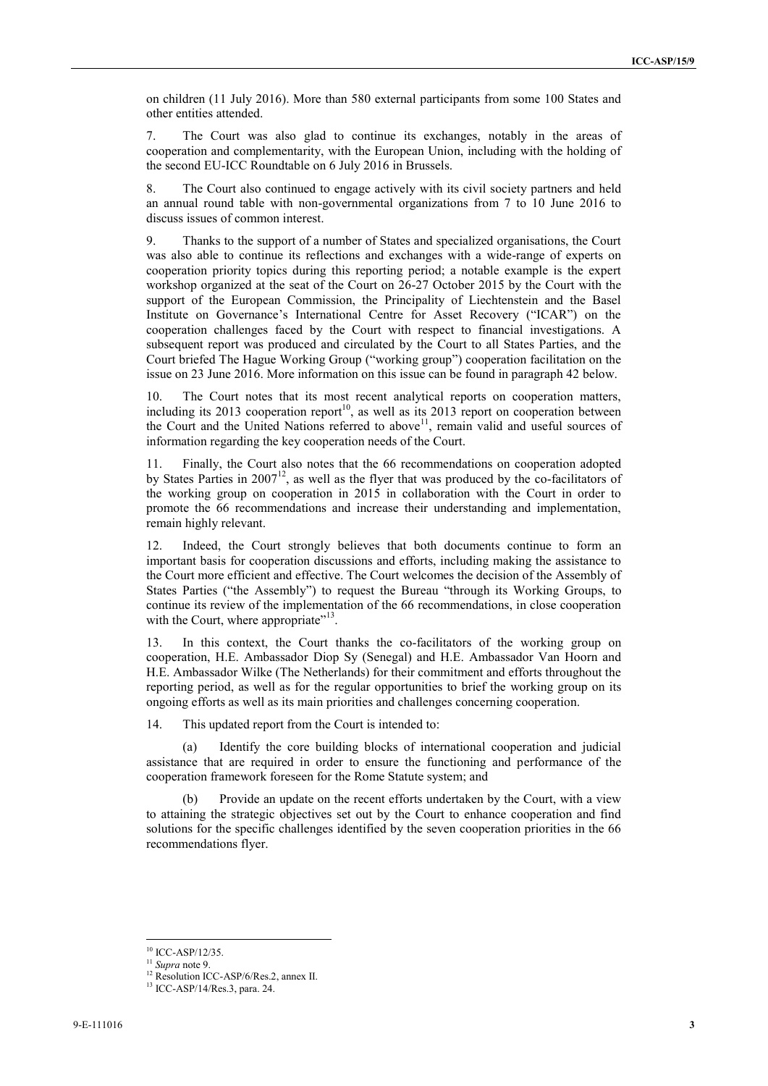on children (11 July 2016). More than 580 external participants from some 100 States and other entities attended.

7. The Court was also glad to continue its exchanges, notably in the areas of cooperation and complementarity, with the European Union, including with the holding of the second EU-ICC Roundtable on 6 July 2016 in Brussels.

8. The Court also continued to engage actively with its civil society partners and held an annual round table with non-governmental organizations from 7 to 10 June 2016 to discuss issues of common interest.

9. Thanks to the support of a number of States and specialized organisations, the Court was also able to continue its reflections and exchanges with a wide-range of experts on cooperation priority topics during this reporting period; a notable example is the expert workshop organized at the seat of the Court on 26-27 October 2015 by the Court with the support of the European Commission, the Principality of Liechtenstein and the Basel Institute on Governance's International Centre for Asset Recovery ("ICAR") on the cooperation challenges faced by the Court with respect to financial investigations. A subsequent report was produced and circulated by the Court to all States Parties, and the Court briefed The Hague Working Group ("working group") cooperation facilitation on the issue on 23 June 2016. More information on this issue can be found in paragraph 42 below.

10. The Court notes that its most recent analytical reports on cooperation matters, including its 2013 cooperation report<sup>10</sup>, as well as its 2013 report on cooperation between the Court and the United Nations referred to above<sup>11</sup>, remain valid and useful sources of information regarding the key cooperation needs of the Court.

11. Finally, the Court also notes that the 66 recommendations on cooperation adopted by States Parties in 2007<sup>12</sup>, as well as the flyer that was produced by the co-facilitators of the working group on cooperation in 2015 in collaboration with the Court in order to promote the 66 recommendations and increase their understanding and implementation, remain highly relevant.

12. Indeed, the Court strongly believes that both documents continue to form an important basis for cooperation discussions and efforts, including making the assistance to the Court more efficient and effective. The Court welcomes the decision of the Assembly of States Parties ("the Assembly") to request the Bureau "through its Working Groups, to continue its review of the implementation of the 66 recommendations, in close cooperation with the Court, where appropriate"<sup>13</sup>.

13. In this context, the Court thanks the co-facilitators of the working group on cooperation, H.E. Ambassador Diop Sy (Senegal) and H.E. Ambassador Van Hoorn and H.E. Ambassador Wilke (The Netherlands) for their commitment and efforts throughout the reporting period, as well as for the regular opportunities to brief the working group on its ongoing efforts as well as its main priorities and challenges concerning cooperation.

14. This updated report from the Court is intended to:

(a) Identify the core building blocks of international cooperation and judicial assistance that are required in order to ensure the functioning and performance of the cooperation framework foreseen for the Rome Statute system; and

Provide an update on the recent efforts undertaken by the Court, with a view to attaining the strategic objectives set out by the Court to enhance cooperation and find solutions for the specific challenges identified by the seven cooperation priorities in the 66 recommendations flyer.

<sup>&</sup>lt;sup>10</sup> ICC-ASP/12/35.

<sup>11</sup> *Supra* note 9.

<sup>&</sup>lt;sup>12</sup> Resolution ICC-ASP/6/Res.2, annex II.<br><sup>13</sup> ICC-ASP/14/Res.3, para. 24.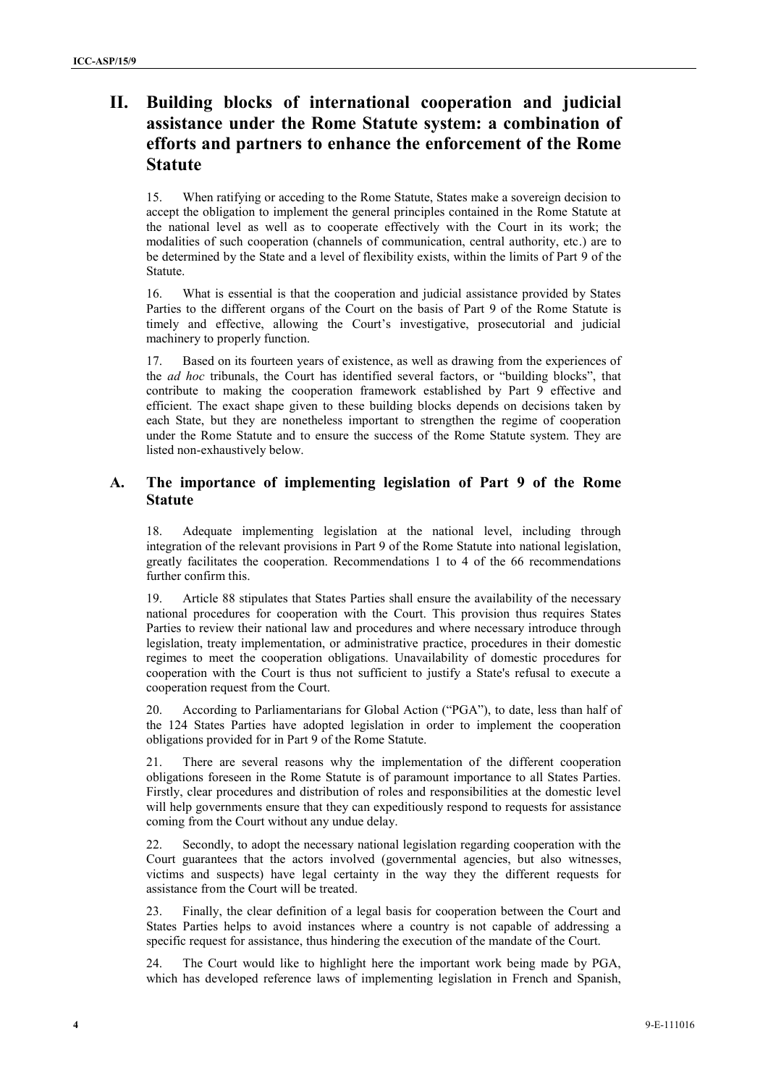## **II. Building blocks of international cooperation and judicial assistance under the Rome Statute system: a combination of efforts and partners to enhance the enforcement of the Rome Statute**

15. When ratifying or acceding to the Rome Statute, States make a sovereign decision to accept the obligation to implement the general principles contained in the Rome Statute at the national level as well as to cooperate effectively with the Court in its work; the modalities of such cooperation (channels of communication, central authority, etc.) are to be determined by the State and a level of flexibility exists, within the limits of Part 9 of the Statute.

16. What is essential is that the cooperation and judicial assistance provided by States Parties to the different organs of the Court on the basis of Part 9 of the Rome Statute is timely and effective, allowing the Court's investigative, prosecutorial and judicial machinery to properly function.

17. Based on its fourteen years of existence, as well as drawing from the experiences of the *ad hoc* tribunals, the Court has identified several factors, or "building blocks", that contribute to making the cooperation framework established by Part 9 effective and efficient. The exact shape given to these building blocks depends on decisions taken by each State, but they are nonetheless important to strengthen the regime of cooperation under the Rome Statute and to ensure the success of the Rome Statute system. They are listed non-exhaustively below.

#### **A. The importance of implementing legislation of Part 9 of the Rome Statute**

18. Adequate implementing legislation at the national level, including through integration of the relevant provisions in Part 9 of the Rome Statute into national legislation, greatly facilitates the cooperation. Recommendations 1 to 4 of the 66 recommendations further confirm this.

19. Article 88 stipulates that States Parties shall ensure the availability of the necessary national procedures for cooperation with the Court. This provision thus requires States Parties to review their national law and procedures and where necessary introduce through legislation, treaty implementation, or administrative practice, procedures in their domestic regimes to meet the cooperation obligations. Unavailability of domestic procedures for cooperation with the Court is thus not sufficient to justify a State's refusal to execute a cooperation request from the Court.

20. According to Parliamentarians for Global Action ("PGA"), to date, less than half of the 124 States Parties have adopted legislation in order to implement the cooperation obligations provided for in Part 9 of the Rome Statute.

21. There are several reasons why the implementation of the different cooperation obligations foreseen in the Rome Statute is of paramount importance to all States Parties. Firstly, clear procedures and distribution of roles and responsibilities at the domestic level will help governments ensure that they can expeditiously respond to requests for assistance coming from the Court without any undue delay.

22. Secondly, to adopt the necessary national legislation regarding cooperation with the Court guarantees that the actors involved (governmental agencies, but also witnesses, victims and suspects) have legal certainty in the way they the different requests for assistance from the Court will be treated.

23. Finally, the clear definition of a legal basis for cooperation between the Court and States Parties helps to avoid instances where a country is not capable of addressing a specific request for assistance, thus hindering the execution of the mandate of the Court.

24. The Court would like to highlight here the important work being made by PGA, which has developed reference laws of implementing legislation in French and Spanish,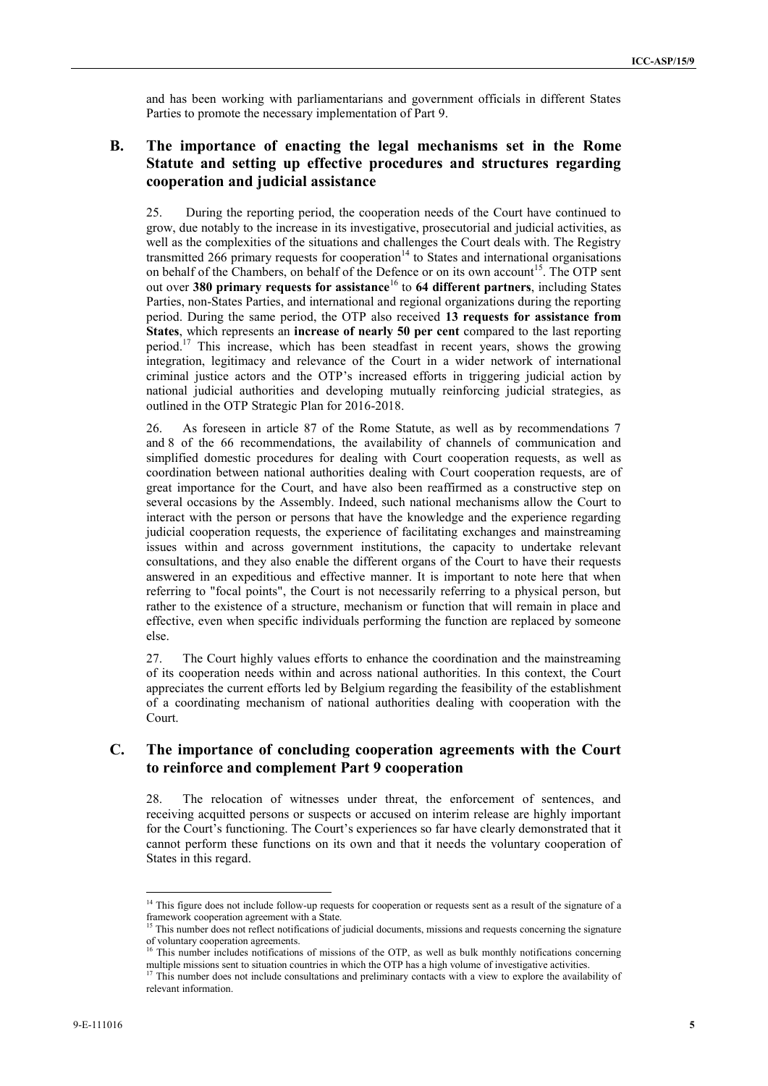and has been working with parliamentarians and government officials in different States Parties to promote the necessary implementation of Part 9.

### **B. The importance of enacting the legal mechanisms set in the Rome Statute and setting up effective procedures and structures regarding cooperation and judicial assistance**

25. During the reporting period, the cooperation needs of the Court have continued to grow, due notably to the increase in its investigative, prosecutorial and judicial activities, as well as the complexities of the situations and challenges the Court deals with. The Registry transmitted 266 primary requests for cooperation<sup>14</sup> to States and international organisations on behalf of the Chambers, on behalf of the Defence or on its own account<sup>15</sup>. The OTP sent out over **380 primary requests for assistance**<sup>16</sup> to **64 different partners**, including States Parties, non-States Parties, and international and regional organizations during the reporting period. During the same period, the OTP also received **13 requests for assistance from States**, which represents an **increase of nearly 50 per cent** compared to the last reporting period.<sup>17</sup> This increase, which has been steadfast in recent years, shows the growing integration, legitimacy and relevance of the Court in a wider network of international criminal justice actors and the OTP's increased efforts in triggering judicial action by national judicial authorities and developing mutually reinforcing judicial strategies, as outlined in the OTP Strategic Plan for 2016-2018.

26. As foreseen in article 87 of the Rome Statute, as well as by recommendations 7 and 8 of the 66 recommendations, the availability of channels of communication and simplified domestic procedures for dealing with Court cooperation requests, as well as coordination between national authorities dealing with Court cooperation requests, are of great importance for the Court, and have also been reaffirmed as a constructive step on several occasions by the Assembly. Indeed, such national mechanisms allow the Court to interact with the person or persons that have the knowledge and the experience regarding judicial cooperation requests, the experience of facilitating exchanges and mainstreaming issues within and across government institutions, the capacity to undertake relevant consultations, and they also enable the different organs of the Court to have their requests answered in an expeditious and effective manner. It is important to note here that when referring to "focal points", the Court is not necessarily referring to a physical person, but rather to the existence of a structure, mechanism or function that will remain in place and effective, even when specific individuals performing the function are replaced by someone else.

27. The Court highly values efforts to enhance the coordination and the mainstreaming of its cooperation needs within and across national authorities. In this context, the Court appreciates the current efforts led by Belgium regarding the feasibility of the establishment of a coordinating mechanism of national authorities dealing with cooperation with the Court.

#### **C. The importance of concluding cooperation agreements with the Court to reinforce and complement Part 9 cooperation**

28. The relocation of witnesses under threat, the enforcement of sentences, and receiving acquitted persons or suspects or accused on interim release are highly important for the Court's functioning. The Court's experiences so far have clearly demonstrated that it cannot perform these functions on its own and that it needs the voluntary cooperation of States in this regard.

<sup>&</sup>lt;sup>14</sup> This figure does not include follow-up requests for cooperation or requests sent as a result of the signature of a framework cooperation agreement with a State.

<sup>&</sup>lt;sup>15</sup> This number does not reflect notifications of judicial documents, missions and requests concerning the signature of voluntary cooperation agreements.<br><sup>16</sup> This number includes notifications of missions of the OTP, as well as bulk monthly notifications concerning

multiple missions sent to situation countries in which the OTP has a high volume of investigative activities.<br><sup>17</sup> This number does not include consultations and proliminary contacts with a view to smaller the small-

<sup>17</sup> This number does not include consultations and preliminary contacts with a view to explore the availability of relevant information.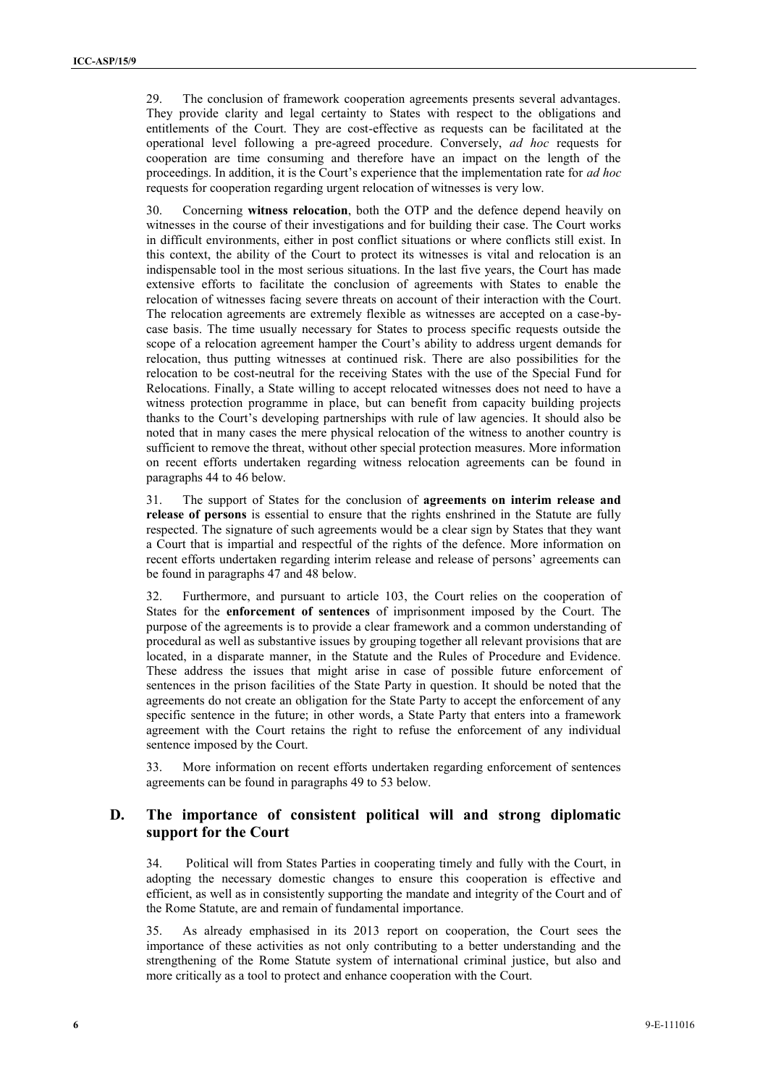29. The conclusion of framework cooperation agreements presents several advantages. They provide clarity and legal certainty to States with respect to the obligations and entitlements of the Court. They are cost-effective as requests can be facilitated at the operational level following a pre-agreed procedure. Conversely, *ad hoc* requests for cooperation are time consuming and therefore have an impact on the length of the proceedings. In addition, it is the Court's experience that the implementation rate for *ad hoc* requests for cooperation regarding urgent relocation of witnesses is very low.

30. Concerning **witness relocation**, both the OTP and the defence depend heavily on witnesses in the course of their investigations and for building their case. The Court works in difficult environments, either in post conflict situations or where conflicts still exist. In this context, the ability of the Court to protect its witnesses is vital and relocation is an indispensable tool in the most serious situations. In the last five years, the Court has made extensive efforts to facilitate the conclusion of agreements with States to enable the relocation of witnesses facing severe threats on account of their interaction with the Court. The relocation agreements are extremely flexible as witnesses are accepted on a case-by case basis. The time usually necessary for States to process specific requests outside the scope of a relocation agreement hamper the Court's ability to address urgent demands for relocation, thus putting witnesses at continued risk. There are also possibilities for the relocation to be cost-neutral for the receiving States with the use of the Special Fund for Relocations. Finally, a State willing to accept relocated witnesses does not need to have a witness protection programme in place, but can benefit from capacity building projects thanks to the Court's developing partnerships with rule of law agencies. It should also be noted that in many cases the mere physical relocation of the witness to another country is sufficient to remove the threat, without other special protection measures. More information on recent efforts undertaken regarding witness relocation agreements can be found in paragraphs 44 to 46 below.

31. The support of States for the conclusion of **agreements on interim release and release of persons** is essential to ensure that the rights enshrined in the Statute are fully respected. The signature of such agreements would be a clear sign by States that they want a Court that is impartial and respectful of the rights of the defence. More information on recent efforts undertaken regarding interim release and release of persons' agreements can be found in paragraphs 47 and 48 below.

32. Furthermore, and pursuant to article 103, the Court relies on the cooperation of States for the **enforcement of sentences** of imprisonment imposed by the Court. The purpose of the agreements is to provide a clear framework and a common understanding of procedural as well as substantive issues by grouping together all relevant provisions that are located, in a disparate manner, in the Statute and the Rules of Procedure and Evidence. These address the issues that might arise in case of possible future enforcement of sentences in the prison facilities of the State Party in question. It should be noted that the agreements do not create an obligation for the State Party to accept the enforcement of any specific sentence in the future; in other words, a State Party that enters into a framework agreement with the Court retains the right to refuse the enforcement of any individual sentence imposed by the Court.

33. More information on recent efforts undertaken regarding enforcement of sentences agreements can be found in paragraphs 49 to 53 below.

### **D. The importance of consistent political will and strong diplomatic support for the Court**

34. Political will from States Parties in cooperating timely and fully with the Court, in adopting the necessary domestic changes to ensure this cooperation is effective and efficient, as well as in consistently supporting the mandate and integrity of the Court and of the Rome Statute, are and remain of fundamental importance.

35. As already emphasised in its 2013 report on cooperation, the Court sees the importance of these activities as not only contributing to a better understanding and the strengthening of the Rome Statute system of international criminal justice, but also and more critically as a tool to protect and enhance cooperation with the Court.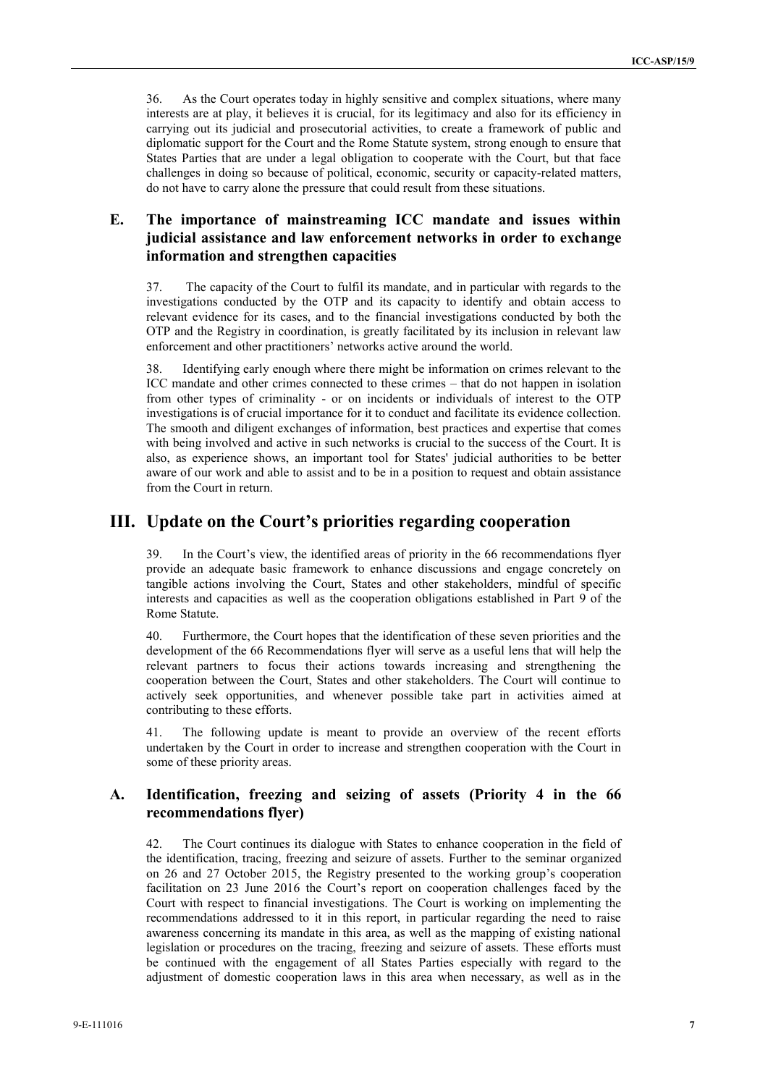36. As the Court operates today in highly sensitive and complex situations, where many interests are at play, it believes it is crucial, for its legitimacy and also for its efficiency in carrying out its judicial and prosecutorial activities, to create a framework of public and diplomatic support for the Court and the Rome Statute system, strong enough to ensure that States Parties that are under a legal obligation to cooperate with the Court, but that face challenges in doing so because of political, economic, security or capacity-related matters, do not have to carry alone the pressure that could result from these situations.

## **E. The importance of mainstreaming ICC mandate and issues within judicial assistance and law enforcement networks in order to exchange information and strengthen capacities**

37. The capacity of the Court to fulfil its mandate, and in particular with regards to the investigations conducted by the OTP and its capacity to identify and obtain access to relevant evidence for its cases, and to the financial investigations conducted by both the OTP and the Registry in coordination, is greatly facilitated by its inclusion in relevant law enforcement and other practitioners' networks active around the world.

38. Identifying early enough where there might be information on crimes relevant to the ICC mandate and other crimes connected to these crimes – that do not happen in isolation from other types of criminality - or on incidents or individuals of interest to the OTP investigations is of crucial importance for it to conduct and facilitate its evidence collection. The smooth and diligent exchanges of information, best practices and expertise that comes with being involved and active in such networks is crucial to the success of the Court. It is also, as experience shows, an important tool for States' judicial authorities to be better aware of our work and able to assist and to be in a position to request and obtain assistance from the Court in return.

## **III. Update on the Court's priorities regarding cooperation**

39. In the Court's view, the identified areas of priority in the 66 recommendations flyer provide an adequate basic framework to enhance discussions and engage concretely on tangible actions involving the Court, States and other stakeholders, mindful of specific interests and capacities as well as the cooperation obligations established in Part 9 of the Rome Statute.

40. Furthermore, the Court hopes that the identification of these seven priorities and the development of the 66 Recommendations flyer will serve as a useful lens that will help the relevant partners to focus their actions towards increasing and strengthening the cooperation between the Court, States and other stakeholders. The Court will continue to actively seek opportunities, and whenever possible take part in activities aimed at contributing to these efforts.

41. The following update is meant to provide an overview of the recent efforts undertaken by the Court in order to increase and strengthen cooperation with the Court in some of these priority areas.

#### **A. Identification, freezing and seizing of assets (Priority 4 in the 66 recommendations flyer)**

42. The Court continues its dialogue with States to enhance cooperation in the field of the identification, tracing, freezing and seizure of assets. Further to the seminar organized on 26 and 27 October 2015, the Registry presented to the working group's cooperation facilitation on 23 June 2016 the Court's report on cooperation challenges faced by the Court with respect to financial investigations. The Court is working on implementing the recommendations addressed to it in this report, in particular regarding the need to raise awareness concerning its mandate in this area, as well as the mapping of existing national legislation or procedures on the tracing, freezing and seizure of assets. These efforts must be continued with the engagement of all States Parties especially with regard to the adjustment of domestic cooperation laws in this area when necessary, as well as in the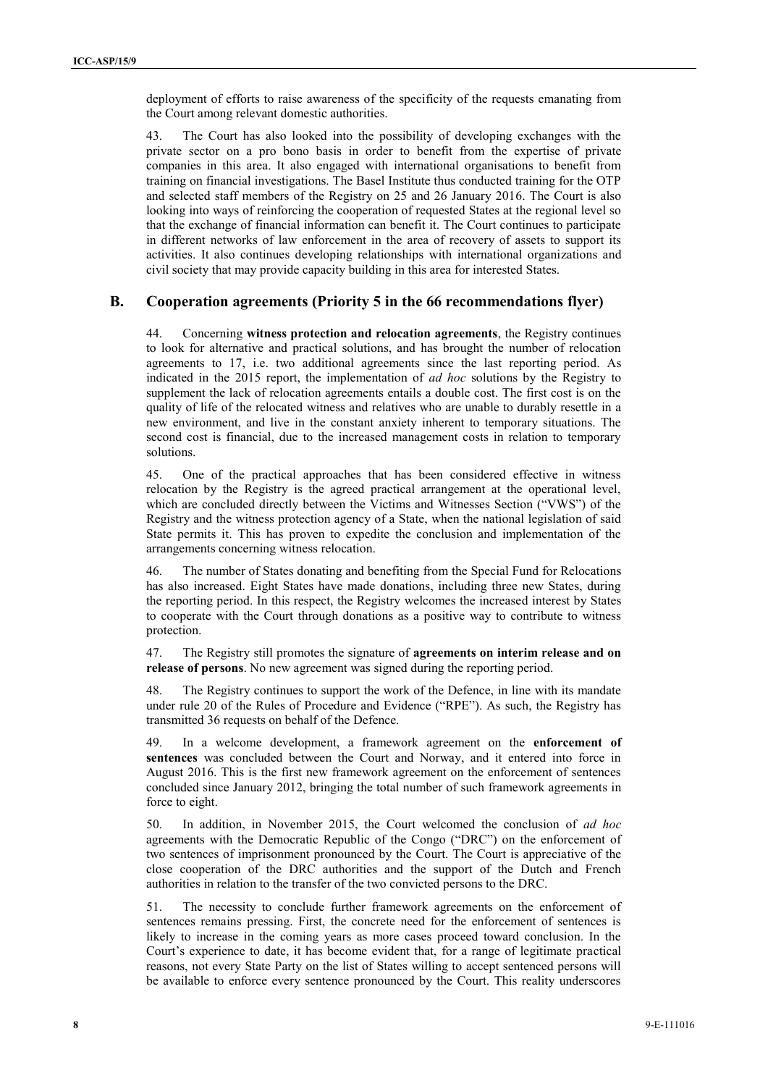deployment of efforts to raise awareness of the specificity of the requests emanating from the Court among relevant domestic authorities.

43. The Court has also looked into the possibility of developing exchanges with the private sector on a pro bono basis in order to benefit from the expertise of private companies in this area. It also engaged with international organisations to benefit from training on financial investigations. The Basel Institute thus conducted training for the OTP and selected staff members of the Registry on 25 and 26 January 2016. The Court is also looking into ways of reinforcing the cooperation of requested States at the regional level so that the exchange of financial information can benefit it. The Court continues to participate in different networks of law enforcement in the area of recovery of assets to support its activities. It also continues developing relationships with international organizations and civil society that may provide capacity building in this area for interested States.

#### **B. Cooperation agreements (Priority 5 in the 66 recommendations flyer)**

44. Concerning **witness protection and relocation agreements**, the Registry continues to look for alternative and practical solutions, and has brought the number of relocation agreements to 17, i.e. two additional agreements since the last reporting period. As indicated in the 2015 report, the implementation of *ad hoc* solutions by the Registry to supplement the lack of relocation agreements entails a double cost. The first cost is on the quality of life of the relocated witness and relatives who are unable to durably resettle in a new environment, and live in the constant anxiety inherent to temporary situations. The second cost is financial, due to the increased management costs in relation to temporary solutions.

45. One of the practical approaches that has been considered effective in witness relocation by the Registry is the agreed practical arrangement at the operational level, which are concluded directly between the Victims and Witnesses Section ("VWS") of the Registry and the witness protection agency of a State, when the national legislation of said State permits it. This has proven to expedite the conclusion and implementation of the arrangements concerning witness relocation.

46. The number of States donating and benefiting from the Special Fund for Relocations has also increased. Eight States have made donations, including three new States, during the reporting period. In this respect, the Registry welcomes the increased interest by States to cooperate with the Court through donations as a positive way to contribute to witness protection.

47. The Registry still promotes the signature of **agreements on interim release and on release of persons**. No new agreement was signed during the reporting period.

48. The Registry continues to support the work of the Defence, in line with its mandate under rule 20 of the Rules of Procedure and Evidence ("RPE"). As such, the Registry has transmitted 36 requests on behalf of the Defence.

49. In a welcome development, a framework agreement on the **enforcement of sentences** was concluded between the Court and Norway, and it entered into force in August 2016. This is the first new framework agreement on the enforcement of sentences concluded since January 2012, bringing the total number of such framework agreements in force to eight.

50. In addition, in November 2015, the Court welcomed the conclusion of *ad hoc* agreements with the Democratic Republic of the Congo ("DRC") on the enforcement of two sentences of imprisonment pronounced by the Court. The Court is appreciative of the close cooperation of the DRC authorities and the support of the Dutch and French authorities in relation to the transfer of the two convicted persons to the DRC.

51. The necessity to conclude further framework agreements on the enforcement of sentences remains pressing. First, the concrete need for the enforcement of sentences is likely to increase in the coming years as more cases proceed toward conclusion. In the Court's experience to date, it has become evident that, for a range of legitimate practical reasons, not every State Party on the list of States willing to accept sentenced persons will be available to enforce every sentence pronounced by the Court. This reality underscores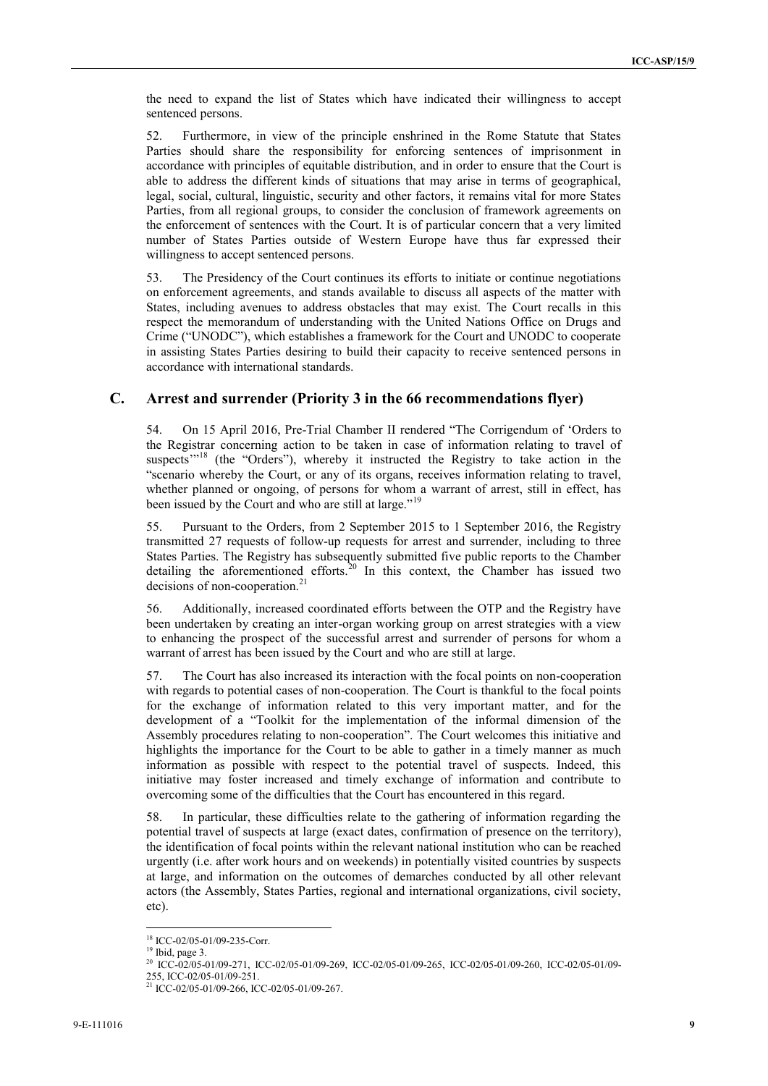the need to expand the list of States which have indicated their willingness to accept sentenced persons.

52. Furthermore, in view of the principle enshrined in the Rome Statute that States Parties should share the responsibility for enforcing sentences of imprisonment in accordance with principles of equitable distribution, and in order to ensure that the Court is able to address the different kinds of situations that may arise in terms of geographical, legal, social, cultural, linguistic, security and other factors, it remains vital for more States Parties, from all regional groups, to consider the conclusion of framework agreements on the enforcement of sentences with the Court. It is of particular concern that a very limited number of States Parties outside of Western Europe have thus far expressed their willingness to accept sentenced persons.

53. The Presidency of the Court continues its efforts to initiate or continue negotiations on enforcement agreements, and stands available to discuss all aspects of the matter with States, including avenues to address obstacles that may exist. The Court recalls in this respect the memorandum of understanding with the United Nations Office on Drugs and Crime ("UNODC"), which establishes a framework for the Court and UNODC to cooperate in assisting States Parties desiring to build their capacity to receive sentenced persons in accordance with international standards.

#### **C. Arrest and surrender (Priority 3 in the 66 recommendations flyer)**

54. On 15 April 2016, Pre-Trial Chamber II rendered "The Corrigendum of 'Orders to the Registrar concerning action to be taken in case of information relating to travel of suspects<sup>"'18</sup> (the "Orders"), whereby it instructed the Registry to take action in the "scenario whereby the Court, or any of its organs, receives information relating to travel, whether planned or ongoing, of persons for whom a warrant of arrest, still in effect, has been issued by the Court and who are still at large."<sup>19</sup>

55. Pursuant to the Orders, from 2 September 2015 to 1 September 2016, the Registry transmitted 27 requests of follow-up requests for arrest and surrender, including to three States Parties. The Registry has subsequently submitted five public reports to the Chamber detailing the aforementioned efforts.<sup>20</sup> In this context, the Chamber has issued two decisions of non-cooperation.<sup>21</sup>

56. Additionally, increased coordinated efforts between the OTP and the Registry have been undertaken by creating an inter-organ working group on arrest strategies with a view to enhancing the prospect of the successful arrest and surrender of persons for whom a warrant of arrest has been issued by the Court and who are still at large.

57. The Court has also increased its interaction with the focal points on non-cooperation with regards to potential cases of non-cooperation. The Court is thankful to the focal points for the exchange of information related to this very important matter, and for the development of a "Toolkit for the implementation of the informal dimension of the Assembly procedures relating to non-cooperation". The Court welcomes this initiative and highlights the importance for the Court to be able to gather in a timely manner as much information as possible with respect to the potential travel of suspects. Indeed, this initiative may foster increased and timely exchange of information and contribute to overcoming some of the difficulties that the Court has encountered in this regard.

58. In particular, these difficulties relate to the gathering of information regarding the potential travel of suspects at large (exact dates, confirmation of presence on the territory), the identification of focal points within the relevant national institution who can be reached urgently (i.e. after work hours and on weekends) in potentially visited countries by suspects at large, and information on the outcomes of demarches conducted by all other relevant actors (the Assembly, States Parties, regional and international organizations, civil society, etc).

<sup>&</sup>lt;sup>18</sup> ICC-02/05-01/09-235-Corr.<br><sup>19</sup> Ibid, page 3.

<sup>20</sup> ICC-02/05-01/09-271, ICC-02/05-01/09-269, ICC-02/05-01/09-265, ICC-02/05-01/09-260, ICC-02/05-01/09-

<sup>255,</sup> ICC-02/05-01/09-251. <sup>21</sup> ICC-02/05-01/09-266, ICC-02/05-01/09-267.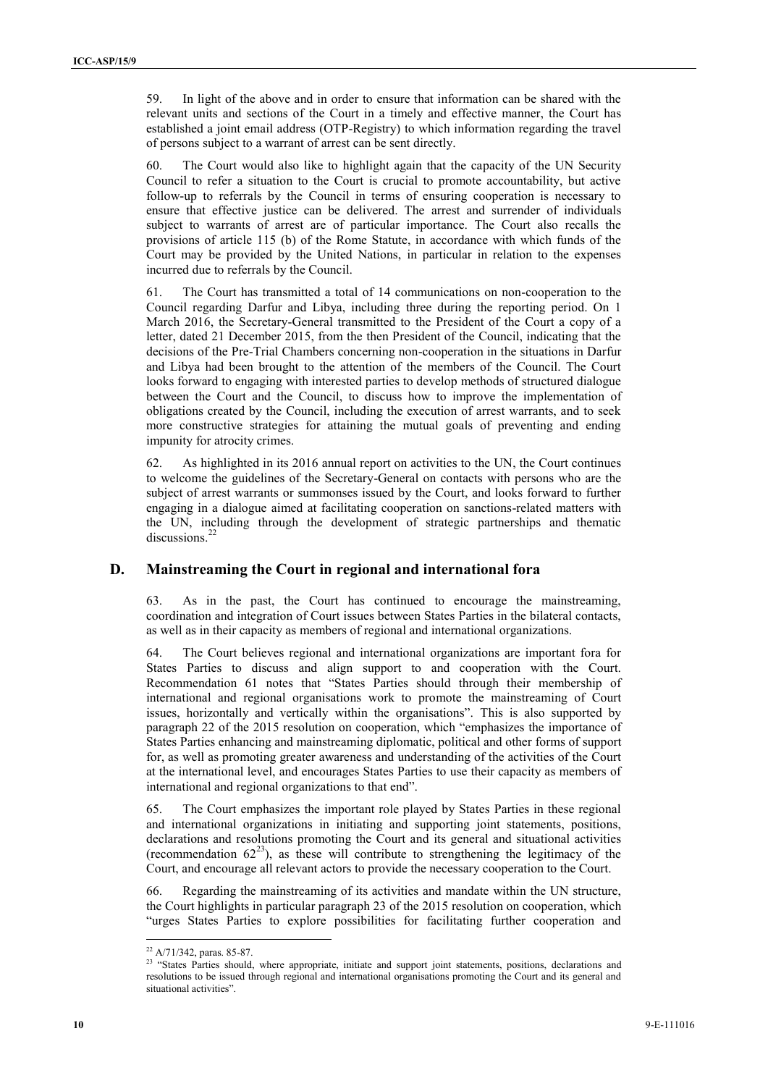59. In light of the above and in order to ensure that information can be shared with the relevant units and sections of the Court in a timely and effective manner, the Court has established a joint email address (OTP-Registry) to which information regarding the travel of persons subject to a warrant of arrest can be sent directly.

60. The Court would also like to highlight again that the capacity of the UN Security Council to refer a situation to the Court is crucial to promote accountability, but active follow-up to referrals by the Council in terms of ensuring cooperation is necessary to ensure that effective justice can be delivered. The arrest and surrender of individuals subject to warrants of arrest are of particular importance. The Court also recalls the provisions of article 115 (b) of the Rome Statute, in accordance with which funds of the Court may be provided by the United Nations, in particular in relation to the expenses incurred due to referrals by the Council.

61. The Court has transmitted a total of 14 communications on non-cooperation to the Council regarding Darfur and Libya, including three during the reporting period. On 1 March 2016, the Secretary-General transmitted to the President of the Court a copy of a letter, dated 21 December 2015, from the then President of the Council, indicating that the decisions of the Pre-Trial Chambers concerning non-cooperation in the situations in Darfur and Libya had been brought to the attention of the members of the Council. The Court looks forward to engaging with interested parties to develop methods of structured dialogue between the Court and the Council, to discuss how to improve the implementation of obligations created by the Council, including the execution of arrest warrants, and to seek more constructive strategies for attaining the mutual goals of preventing and ending impunity for atrocity crimes.

62. As highlighted in its 2016 annual report on activities to the UN, the Court continues to welcome the guidelines of the Secretary-General on contacts with persons who are the subject of arrest warrants or summonses issued by the Court, and looks forward to further engaging in a dialogue aimed at facilitating cooperation on sanctions-related matters with the UN, including through the development of strategic partnerships and thematic discussions.<sup>2</sup>

#### **D. Mainstreaming the Court in regional and international fora**

63. As in the past, the Court has continued to encourage the mainstreaming, coordination and integration of Court issues between States Parties in the bilateral contacts, as well as in their capacity as members of regional and international organizations.

64. The Court believes regional and international organizations are important fora for States Parties to discuss and align support to and cooperation with the Court. Recommendation 61 notes that "States Parties should through their membership of international and regional organisations work to promote the mainstreaming of Court issues, horizontally and vertically within the organisations". This is also supported by paragraph 22 of the 2015 resolution on cooperation, which "emphasizes the importance of States Parties enhancing and mainstreaming diplomatic, political and other forms of support for, as well as promoting greater awareness and understanding of the activities of the Court at the international level, and encourages States Parties to use their capacity as members of international and regional organizations to that end".

65. The Court emphasizes the important role played by States Parties in these regional and international organizations in initiating and supporting joint statements, positions, declarations and resolutions promoting the Court and its general and situational activities (recommendation  $62^{23}$ ), as these will contribute to strengthening the legitimacy of the Court, and encourage all relevant actors to provide the necessary cooperation to the Court.

66. Regarding the mainstreaming of its activities and mandate within the UN structure, the Court highlights in particular paragraph 23 of the 2015 resolution on cooperation, which "urges States Parties to explore possibilities for facilitating further cooperation and

<sup>22</sup> A/71/342, paras. 85-87.

<sup>&</sup>lt;sup>23</sup> "States Parties should, where appropriate, initiate and support joint statements, positions, declarations and resolutions to be issued through regional and international organisations promoting the Court and its general and situational activities".